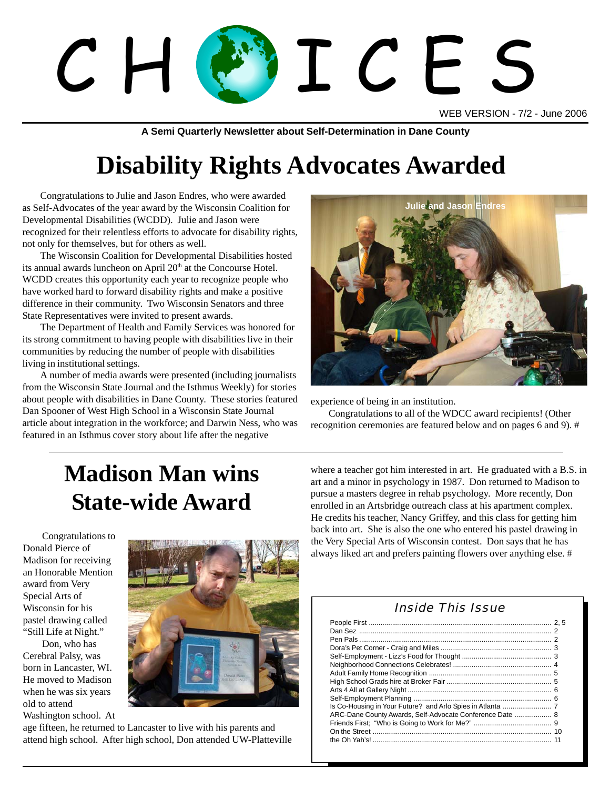# $C$  H (AV I C F

WEB VERSION - 7/2 - June 2006

**A Semi Quarterly Newsletter about Self-Determination in Dane County**

# **Disability Rights Advocates Awarded**

Congratulations to Julie and Jason Endres, who were awarded as Self-Advocates of the year award by the Wisconsin Coalition for Developmental Disabilities (WCDD). Julie and Jason were recognized for their relentless efforts to advocate for disability rights, not only for themselves, but for others as well.

The Wisconsin Coalition for Developmental Disabilities hosted its annual awards luncheon on April 20<sup>th</sup> at the Concourse Hotel. WCDD creates this opportunity each year to recognize people who have worked hard to forward disability rights and make a positive difference in their community. Two Wisconsin Senators and three State Representatives were invited to present awards.

The Department of Health and Family Services was honored for its strong commitment to having people with disabilities live in their communities by reducing the number of people with disabilities living in institutional settings.

**Sadler and roommate, Claudia** about people with disabilities in Dane County. These stories featured experience A number of media awards were presented (including journalists from the Wisconsin State Journal and the Isthmus Weekly) for stories Dan Spooner of West High School in a Wisconsin State Journal article about integration in the workforce; and Darwin Ness, who was featured in an Isthmus cover story about life after the negative



experience of being in an institution.

Congratulations to all of the WDCC award recipients! (Other recognition ceremonies are featured below and on pages 6 and 9). #

# **Madison Man wins State-wide Award**

Congratulations to Donald Pierce of Madison for receiving an Honorable Mention award from Very Special Arts of Wisconsin for his pastel drawing called "Still Life at Night."

Don, who has Cerebral Palsy, was born in Lancaster, WI. He moved to Madison when he was six years old to attend Washington school. At



age fifteen, he returned to Lancaster to live with his parents and attend high school. After high school, Don attended UW-Platteville where a teacher got him interested in art. He graduated with a B.S. in art and a minor in psychology in 1987. Don returned to Madison to pursue a masters degree in rehab psychology. More recently, Don enrolled in an Artsbridge outreach class at his apartment complex. He credits his teacher, Nancy Griffey, and this class for getting him back into art. She is also the one who entered his pastel drawing in the Very Special Arts of Wisconsin contest. Don says that he has always liked art and prefers painting flowers over anything else. #

#### Inside This Issue

| ARC-Dane County Awards, Self-Advocate Conference Date  8 |  |
|----------------------------------------------------------|--|
|                                                          |  |
|                                                          |  |
|                                                          |  |
|                                                          |  |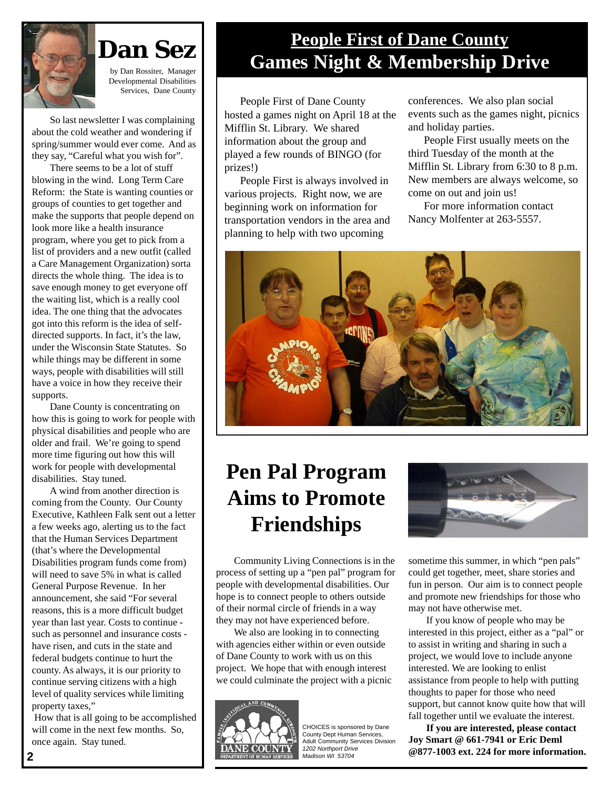

**Dan Sez** by Dan Rossiter, Manager

Developmental Disabilities Services, Dane County

So last newsletter I was complaining about the cold weather and wondering if spring/summer would ever come. And as they say, "Careful what you wish for".

 There seems to be a lot of stuff blowing in the wind. Long Term Care Reform: the State is wanting counties or groups of counties to get together and make the supports that people depend on look more like a health insurance program, where you get to pick from a list of providers and a new outfit (called a Care Management Organization) sorta directs the whole thing. The idea is to save enough money to get everyone off the waiting list, which is a really cool idea. The one thing that the advocates got into this reform is the idea of selfdirected supports. In fact, it's the law, under the Wisconsin State Statutes. So while things may be different in some ways, people with disabilities will still have a voice in how they receive their supports.

 Dane County is concentrating on how this is going to work for people with physical disabilities and people who are older and frail. We're going to spend more time figuring out how this will work for people with developmental disabilities. Stay tuned.

 A wind from another direction is coming from the County. Our County Executive, Kathleen Falk sent out a letter a few weeks ago, alerting us to the fact that the Human Services Department (that's where the Developmental Disabilities program funds come from) will need to save 5% in what is called General Purpose Revenue. In her announcement, she said "For several reasons, this is a more difficult budget year than last year. Costs to continue such as personnel and insurance costs have risen, and cuts in the state and federal budgets continue to hurt the county. As always, it is our priority to continue serving citizens with a high level of quality services while limiting property taxes,"

 How that is all going to be accomplished will come in the next few months. So, once again. Stay tuned.

## **People First of Dane County Games Night & Membership Drive**

People First of Dane County hosted a games night on April 18 at the Mifflin St. Library. We shared information about the group and played a few rounds of BINGO (for prizes!)

People First is always involved in various projects. Right now, we are beginning work on information for transportation vendors in the area and planning to help with two upcoming

conferences. We also plan social events such as the games night, picnics and holiday parties.

People First usually meets on the third Tuesday of the month at the Mifflin St. Library from 6:30 to 8 p.m. New members are always welcome, so come on out and join us!

For more information contact Nancy Molfenter at 263-5557.



## **Pen Pal Program Aims to Promote Friendships**

Community Living Connections is in the process of setting up a "pen pal" program for people with developmental disabilities. Our hope is to connect people to others outside of their normal circle of friends in a way they may not have experienced before.

We also are looking in to connecting with agencies either within or even outside of Dane County to work with us on this project. We hope that with enough interest we could culminate the project with a picnic



CHOICES is sponsored by Dane County Dept Human Services, Adult Community Services Division *1202 Northport Drive*



sometime this summer, in which "pen pals" could get together, meet, share stories and fun in person. Our aim is to connect people and promote new friendships for those who may not have otherwise met.

If you know of people who may be interested in this project, either as a "pal" or to assist in writing and sharing in such a project, we would love to include anyone interested. We are looking to enlist assistance from people to help with putting thoughts to paper for those who need support, but cannot know quite how that will fall together until we evaluate the interest.

**If you are interested, please contact Joy Smart @ 661-7941 or Eric Deml @877-1003 ext. 224 for more information.**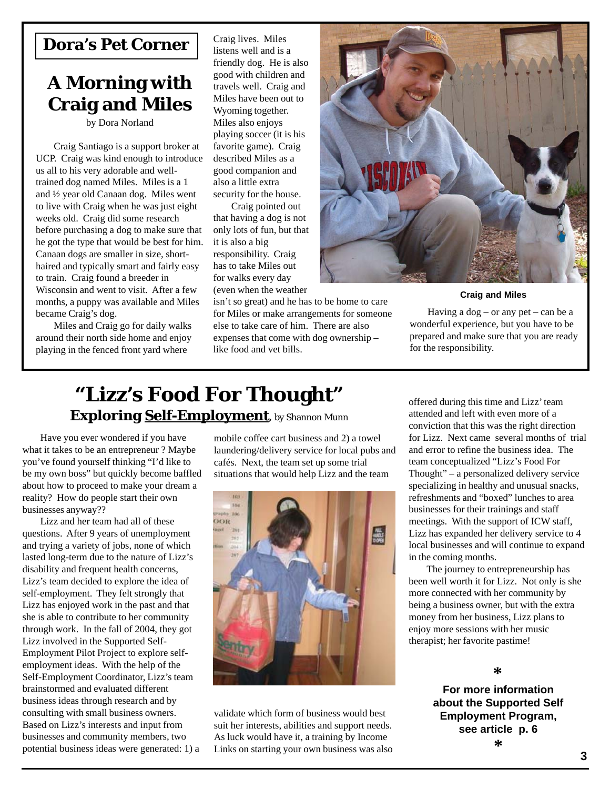#### **Dora's Pet Corner**

### **A Morning with Craig and Miles**

by Dora Norland

Craig Santiago is a support broker at UCP. Craig was kind enough to introduce us all to his very adorable and welltrained dog named Miles. Miles is a 1 and ½ year old Canaan dog. Miles went to live with Craig when he was just eight weeks old. Craig did some research before purchasing a dog to make sure that he got the type that would be best for him. Canaan dogs are smaller in size, shorthaired and typically smart and fairly easy to train. Craig found a breeder in Wisconsin and went to visit. After a few months, a puppy was available and Miles became Craig's dog.

Miles and Craig go for daily walks around their north side home and enjoy playing in the fenced front yard where

Craig lives. Miles listens well and is a friendly dog. He is also good with children and travels well. Craig and Miles have been out to Wyoming together. Miles also enjoys playing soccer (it is his favorite game). Craig described Miles as a good companion and also a little extra security for the house.

Craig pointed out that having a dog is not only lots of fun, but that it is also a big responsibility. Craig has to take Miles out for walks every day (even when the weather

isn't so great) and he has to be home to care for Miles or make arrangements for someone else to take care of him. There are also expenses that come with dog ownership – like food and vet bills.



#### **Craig and Miles**

Having a  $\log$  – or any pet – can be a wonderful experience, but you have to be prepared and make sure that you are ready for the responsibility.

## **"Lizz's Food For Thought" Exploring Self-Employment,** by Shannon Munn

Have you ever wondered if you have what it takes to be an entrepreneur ? Maybe you've found yourself thinking "I'd like to be my own boss" but quickly become baffled about how to proceed to make your dream a reality? How do people start their own businesses anyway??

Lizz and her team had all of these questions. After 9 years of unemployment and trying a variety of jobs, none of which lasted long-term due to the nature of Lizz's disability and frequent health concerns, Lizz's team decided to explore the idea of self-employment. They felt strongly that Lizz has enjoyed work in the past and that she is able to contribute to her community through work. In the fall of 2004, they got Lizz involved in the Supported Self-Employment Pilot Project to explore selfemployment ideas. With the help of the Self-Employment Coordinator, Lizz's team brainstormed and evaluated different business ideas through research and by consulting with small business owners. Based on Lizz's interests and input from businesses and community members, two potential business ideas were generated: 1) a mobile coffee cart business and 2) a towel laundering/delivery service for local pubs and cafés. Next, the team set up some trial situations that would help Lizz and the team



**4 3** validate which form of business would best suit her interests, abilities and support needs. As luck would have it, a training by Income Links on starting your own business was also

offered during this time and Lizz' team attended and left with even more of a conviction that this was the right direction for Lizz. Next came several months of trial and error to refine the business idea. The team conceptualized "Lizz's Food For Thought" – a personalized delivery service specializing in healthy and unusual snacks, refreshments and "boxed" lunches to area businesses for their trainings and staff meetings. With the support of ICW staff, Lizz has expanded her delivery service to 4 local businesses and will continue to expand in the coming months.

The journey to entrepreneurship has been well worth it for Lizz. Not only is she more connected with her community by being a business owner, but with the extra money from her business, Lizz plans to enjoy more sessions with her music therapist; her favorite pastime!

#### **\***

**For more information about the Supported Self Employment Program, see article p. 6 \***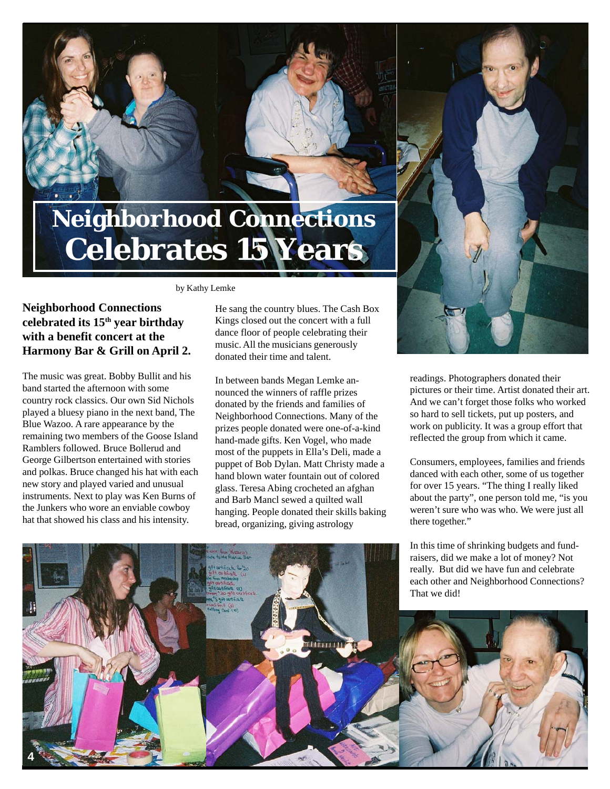# **Neighborhood Connections Celebrates 15 Years**

#### by Kathy Lemke

#### **Neighborhood Connections celebrated its 15th year birthday with a benefit concert at the Harmony Bar & Grill on April 2.**

The music was great. Bobby Bullit and his band started the afternoon with some country rock classics. Our own Sid Nichols played a bluesy piano in the next band, The Blue Wazoo. A rare appearance by the remaining two members of the Goose Island Ramblers followed. Bruce Bollerud and George Gilbertson entertained with stories and polkas. Bruce changed his hat with each new story and played varied and unusual instruments. Next to play was Ken Burns of the Junkers who wore an enviable cowboy hat that showed his class and his intensity.

He sang the country blues. The Cash Box Kings closed out the concert with a full dance floor of people celebrating their music. All the musicians generously donated their time and talent.

In between bands Megan Lemke announced the winners of raffle prizes donated by the friends and families of Neighborhood Connections. Many of the prizes people donated were one-of-a-kind hand-made gifts. Ken Vogel, who made most of the puppets in Ella's Deli, made a puppet of Bob Dylan. Matt Christy made a hand blown water fountain out of colored glass. Teresa Abing crocheted an afghan and Barb Mancl sewed a quilted wall hanging. People donated their skills baking bread, organizing, giving astrology

readings. Photographers donated their pictures or their time. Artist donated their art. And we can't forget those folks who worked so hard to sell tickets, put up posters, and work on publicity. It was a group effort that reflected the group from which it came.

Consumers, employees, families and friends danced with each other, some of us together for over 15 years. "The thing I really liked about the party", one person told me, "is you weren't sure who was who. We were just all there together."

In this time of shrinking budgets and fundraisers, did we make a lot of money? Not

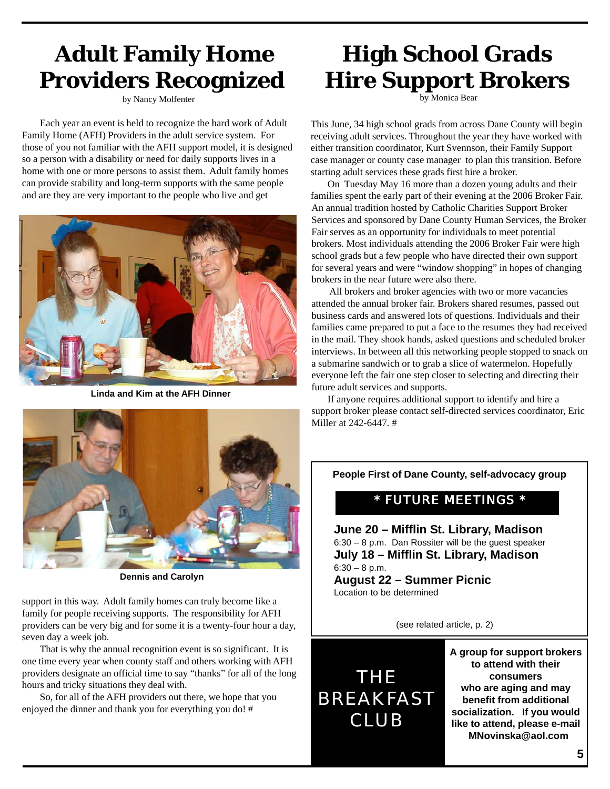## **Adult Family Home Providers Recognized**

by Nancy Molfenter

Each year an event is held to recognize the hard work of Adult Family Home (AFH) Providers in the adult service system. For those of you not familiar with the AFH support model, it is designed so a person with a disability or need for daily supports lives in a home with one or more persons to assist them. Adult family homes can provide stability and long-term supports with the same people and are they are very important to the people who live and get



**Linda and Kim at the AFH Dinner**



**Dennis and Carolyn**

support in this way. Adult family homes can truly become like a family for people receiving supports. The responsibility for AFH providers can be very big and for some it is a twenty-four hour a day, seven day a week job.

That is why the annual recognition event is so significant. It is one time every year when county staff and others working with AFH providers designate an official time to say "thanks" for all of the long hours and tricky situations they deal with.

So, for all of the AFH providers out there, we hope that you enjoyed the dinner and thank you for everything you do! #

# **High School Grads Hire Support Brokers**

by Monica Bear

This June, 34 high school grads from across Dane County will begin receiving adult services. Throughout the year they have worked with either transition coordinator, Kurt Svennson, their Family Support case manager or county case manager to plan this transition. Before starting adult services these grads first hire a broker.

On Tuesday May 16 more than a dozen young adults and their families spent the early part of their evening at the 2006 Broker Fair. An annual tradition hosted by Catholic Charities Support Broker Services and sponsored by Dane County Human Services, the Broker Fair serves as an opportunity for individuals to meet potential brokers. Most individuals attending the 2006 Broker Fair were high school grads but a few people who have directed their own support for several years and were "window shopping" in hopes of changing brokers in the near future were also there.

 All brokers and broker agencies with two or more vacancies attended the annual broker fair. Brokers shared resumes, passed out business cards and answered lots of questions. Individuals and their families came prepared to put a face to the resumes they had received in the mail. They shook hands, asked questions and scheduled broker interviews. In between all this networking people stopped to snack on a submarine sandwich or to grab a slice of watermelon. Hopefully everyone left the fair one step closer to selecting and directing their future adult services and supports.

If anyone requires additional support to identify and hire a support broker please contact self-directed services coordinator, Eric Miller at 242-6447. #

**People First of Dane County, self-advocacy group**

#### \* FUTURE MEETINGS \*

**June 20 – Mifflin St. Library, Madison** 6:30 – 8 p.m. Dan Rossiter will be the guest speaker **July 18 – Mifflin St. Library, Madison**  $6:30 - 8$  p.m.

**August 22 – Summer Picnic** Location to be determined

(see related article, p. 2)



**A group for support brokers to attend with their consumers who are aging and may benefit from additional socialization. If you would like to attend, please e-mail MNovinska@aol.com**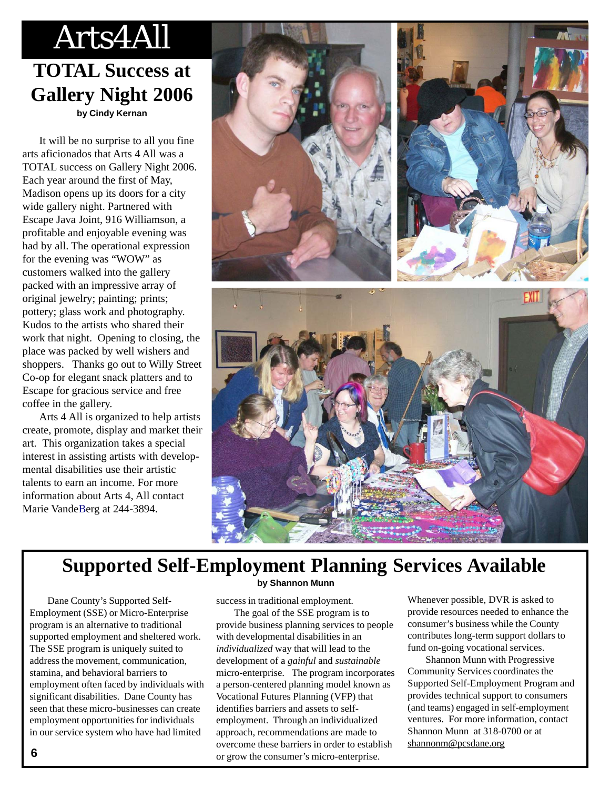# Arts4All

## **TOTAL Success at Gallery Night 2006 by Cindy Kernan**

It will be no surprise to all you fine arts aficionados that Arts 4 All was a TOTAL success on Gallery Night 2006. Each year around the first of May, Madison opens up its doors for a city wide gallery night. Partnered with Escape Java Joint, 916 Williamson, a profitable and enjoyable evening was had by all. The operational expression for the evening was "WOW" as customers walked into the gallery packed with an impressive array of original jewelry; painting; prints; pottery; glass work and photography. Kudos to the artists who shared their work that night. Opening to closing, the place was packed by well wishers and shoppers. Thanks go out to Willy Street Co-op for elegant snack platters and to Escape for gracious service and free coffee in the gallery.

Arts 4 All is organized to help artists create, promote, display and market their art. This organization takes a special interest in assisting artists with developmental disabilities use their artistic talents to earn an income. For more information about Arts 4, All contact Marie VandeBerg at 244-3894.



## **Supported Self-Employment Planning Services Available**

Dane County's Supported Self-Employment (SSE) or Micro-Enterprise program is an alternative to traditional supported employment and sheltered work. The SSE program is uniquely suited to address the movement, communication, stamina, and behavioral barriers to employment often faced by individuals with significant disabilities. Dane County has seen that these micro-businesses can create employment opportunities for individuals in our service system who have had limited

#### **by Shannon Munn**

success in traditional employment.

The goal of the SSE program is to provide business planning services to people with developmental disabilities in an *individualized* way that will lead to the development of a *gainful* and *sustainable* micro-enterprise. The program incorporates a person-centered planning model known as Vocational Futures Planning (VFP) that identifies barriers and assets to selfemployment. Through an individualized approach, recommendations are made to overcome these barriers in order to establish or grow the consumer's micro-enterprise.

Whenever possible, DVR is asked to provide resources needed to enhance the consumer's business while the County contributes long-term support dollars to fund on-going vocational services.

 Shannon Munn with Progressive Community Services coordinates the Supported Self-Employment Program and provides technical support to consumers (and teams) engaged in self-employment ventures. For more information, contact Shannon Munn at 318-0700 or at shannonm@pcsdane.org

*CHOICES***, May 2005**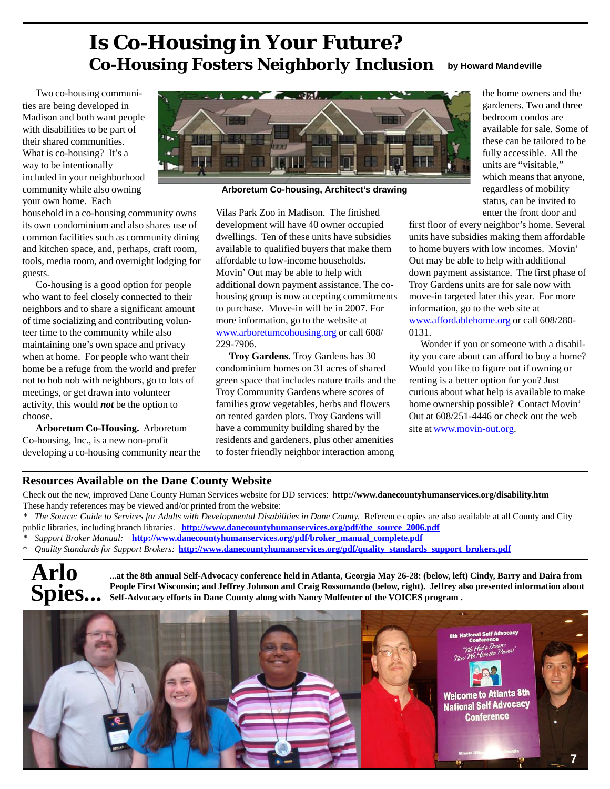## **Is Co-Housing in Your Future?** *Co-Housing Fosters Neighborly Inclusion* **by Howard Mandeville**

Two co-housing communities are being developed in Madison and both want people with disabilities to be part of their shared communities. What is co-housing? It's a way to be intentionally included in your neighborhood community while also owning your own home. Each

household in a co-housing community owns its own condominium and also shares use of common facilities such as community dining and kitchen space, and, perhaps, craft room, tools, media room, and overnight lodging for guests.

Co-housing is a good option for people who want to feel closely connected to their neighbors and to share a significant amount of time socializing and contributing volunteer time to the community while also maintaining one's own space and privacy when at home. For people who want their home be a refuge from the world and prefer not to hob nob with neighbors, go to lots of meetings, or get drawn into volunteer activity, this would *not* be the option to choose.

**Arboretum Co-Housing.** Arboretum Co-housing, Inc., is a new non-profit developing a co-housing community near the



**Arboretum Co-housing, Architect's drawing**

Vilas Park Zoo in Madison. The finished development will have 40 owner occupied dwellings. Ten of these units have subsidies available to qualified buyers that make them affordable to low-income households. Movin' Out may be able to help with additional down payment assistance. The cohousing group is now accepting commitments to purchase. Move-in will be in 2007. For more information, go to the website at www.arboretumcohousing.org or call 608/ 229-7906.

**Troy Gardens.** Troy Gardens has 30 condominium homes on 31 acres of shared green space that includes nature trails and the Troy Community Gardens where scores of families grow vegetables, herbs and flowers on rented garden plots. Troy Gardens will have a community building shared by the residents and gardeners, plus other amenities to foster friendly neighbor interaction among

the home owners and the gardeners. Two and three bedroom condos are available for sale. Some of these can be tailored to be fully accessible. All the units are "visitable," which means that anyone, regardless of mobility status, can be invited to enter the front door and

first floor of every neighbor's home. Several units have subsidies making them affordable to home buyers with low incomes. Movin' Out may be able to help with additional down payment assistance. The first phase of Troy Gardens units are for sale now with move-in targeted later this year. For more information, go to the web site at www.affordablehome.org or call 608/280- 0131.

 Wonder if you or someone with a disability you care about can afford to buy a home? Would you like to figure out if owning or renting is a better option for you? Just curious about what help is available to make home ownership possible? Contact Movin' Out at 608/251-4446 or check out the web site at www.movin-out.org.

#### **Resources Available on the Dane County Website**

Check out the new, improved Dane County Human Services website for DD services: h**ttp://www.danecountyhumanservices.org/disability.htm** These handy references may be viewed and/or printed from the website:

*\* The Source: Guide to Services for Adults with Developmental Disabilities in Dane County.* Reference copies are also available at all County and City public libraries, including branch libraries. **http://www.danecountyhumanservices.org/pdf/the\_source\_2006.pdf** 

*\* Support Broker Manual:* **http://www.danecountyhumanservices.org/pdf/broker\_manual\_complete.pdf**

\* *Quality Standards for Support Brokers:* **http://www.danecountyhumanservices.org/pdf/quality\_standards\_support\_brokers.pdf**

**Arlo Spies...**

**...at the 8th annual Self-Advocacy conference held in Atlanta, Georgia May 26-28: (below, left) Cindy, Barry and Daira from People First Wisconsin; and Jeffrey Johnson and Craig Rossomando (below, right). Jeffrey also presented information about Self-Advocacy efforts in Dane County along with Nancy Molfenter of the VOICES program .**

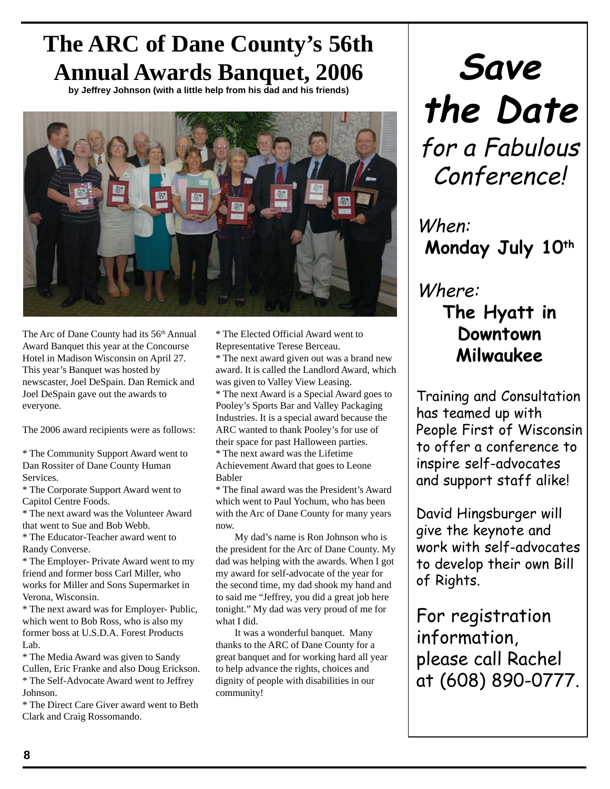# **The ARC of Dane County's 56th Annual Awards Banquet, 2006**

**by Jeffrey Johnson (with a little help from his dad and his friends)**



The Arc of Dane County had its 56<sup>th</sup> Annual Award Banquet this year at the Concourse Hotel in Madison Wisconsin on April 27. This year's Banquet was hosted by newscaster, Joel DeSpain. Dan Remick and Joel DeSpain gave out the awards to everyone.

The 2006 award recipients were as follows:

\* The Community Support Award went to Dan Rossiter of Dane County Human Services.

\* The Corporate Support Award went to Capitol Centre Foods.

\* The next award was the Volunteer Award that went to Sue and Bob Webb.

\* The Educator-Teacher award went to Randy Converse.

\* The Employer- Private Award went to my friend and former boss Carl Miller, who works for Miller and Sons Supermarket in Verona, Wisconsin.

\* The next award was for Employer- Public, which went to Bob Ross, who is also my former boss at U.S.D.A. Forest Products Lab.

\* The Media Award was given to Sandy Cullen, Eric Franke and also Doug Erickson. \* The Self-Advocate Award went to Jeffrey Johnson.

\* The Direct Care Giver award went to Beth Clark and Craig Rossomando.

\* The Elected Official Award went to Representative Terese Berceau.

\* The next award given out was a brand new award. It is called the Landlord Award, which was given to Valley View Leasing.

\* The next Award is a Special Award goes to Pooley's Sports Bar and Valley Packaging Industries. It is a special award because the ARC wanted to thank Pooley's for use of their space for past Halloween parties. \* The next award was the Lifetime

Achievement Award that goes to Leone Babler

\* The final award was the President's Award which went to Paul Yochum, who has been with the Arc of Dane County for many years now.

My dad's name is Ron Johnson who is the president for the Arc of Dane County. My dad was helping with the awards. When I got my award for self-advocate of the year for the second time, my dad shook my hand and to said me "Jeffrey, you did a great job here tonight." My dad was very proud of me for what I did.

It was a wonderful banquet. Many thanks to the ARC of Dane County for a great banquet and for working hard all year to help advance the rights, choices and dignity of people with disabilities in our community!

**Save the Date** for a Fabulous Conference!

When: **Monday July 10th** 

## Where: **The Hyatt in Downtown Milwaukee**

Training and Consultation has teamed up with People First of Wisconsin to offer a conference to inspire self-advocates and support staff alike!

David Hingsburger will give the keynote and work with self-advocates to develop their own Bill of Rights.

For registration information, please call Rachel at (608) 890-0777.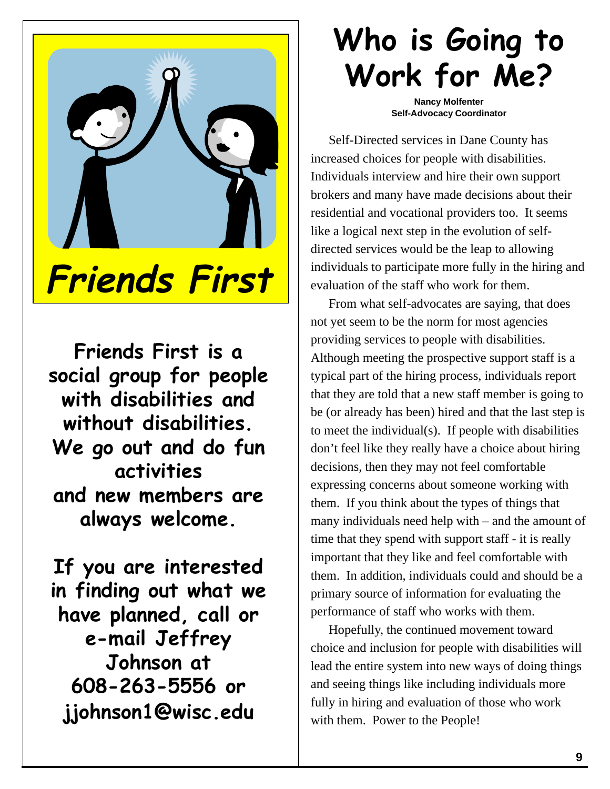

**Friends First is a social group for people with disabilities and without disabilities. We go out and do fun activities and new members are always welcome.**

**If you are interested in finding out what we have planned, call or e-mail Jeffrey Johnson at 608-263-5556 or jjohnson1@wisc.edu**

# **Who is Going to Work for Me?**

**Nancy Molfenter Self-Advocacy Coordinator**

Self-Directed services in Dane County has increased choices for people with disabilities. Individuals interview and hire their own support brokers and many have made decisions about their residential and vocational providers too. It seems like a logical next step in the evolution of selfdirected services would be the leap to allowing individuals to participate more fully in the hiring and evaluation of the staff who work for them.

From what self-advocates are saying, that does not yet seem to be the norm for most agencies providing services to people with disabilities. Although meeting the prospective support staff is a typical part of the hiring process, individuals report that they are told that a new staff member is going to be (or already has been) hired and that the last step is to meet the individual(s). If people with disabilities don't feel like they really have a choice about hiring decisions, then they may not feel comfortable expressing concerns about someone working with them. If you think about the types of things that many individuals need help with – and the amount of time that they spend with support staff - it is really important that they like and feel comfortable with them. In addition, individuals could and should be a primary source of information for evaluating the performance of staff who works with them.

Hopefully, the continued movement toward choice and inclusion for people with disabilities will lead the entire system into new ways of doing things and seeing things like including individuals more fully in hiring and evaluation of those who work with them. Power to the People!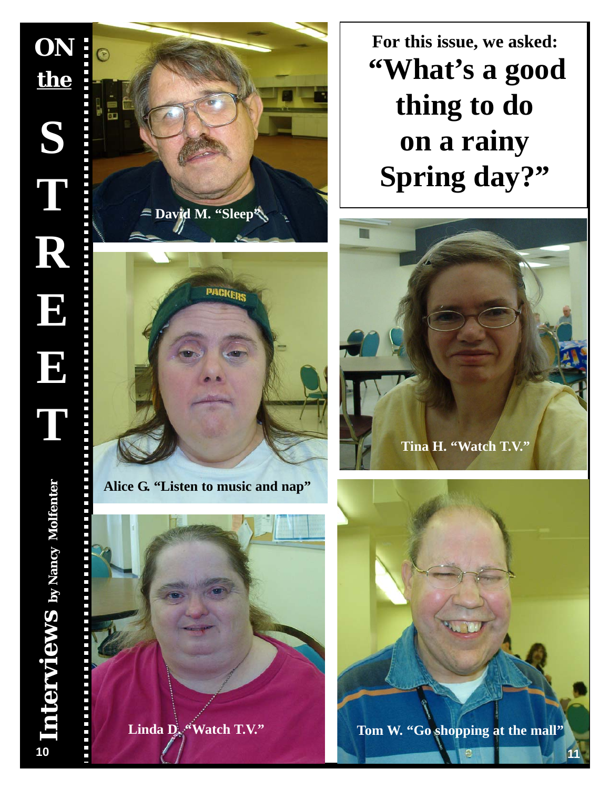

**For this issue, we asked: "What's a good thing to do on a rainy Spring day?"**



**Alice G. "Listen to music and nap"**







*CHOICES***, May 2005**

**11**